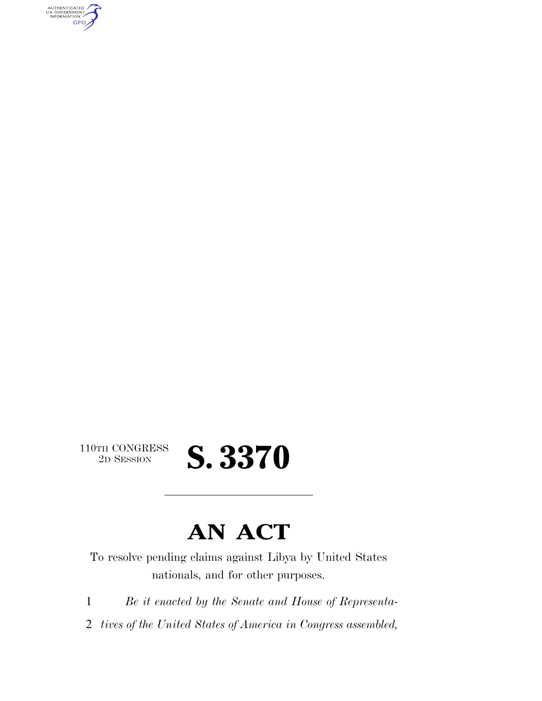AUTHENTICATED<br>U.S. GOVERNMENT<br>INFORMATION GPO

 $\begin{array}{c} \textbf{110TH CONGRESS} \\ \textbf{2D SESION} \end{array}$ 

2D SESSION **S. 3370** 

## **AN ACT**

To resolve pending claims against Libya by United States nationals, and for other purposes.

1 *Be it enacted by the Senate and House of Representa-*

2 *tives of the United States of America in Congress assembled,*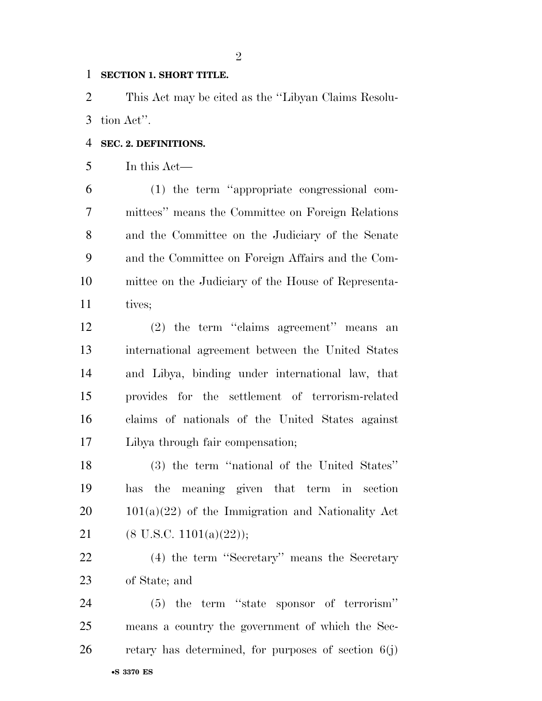#### **SECTION 1. SHORT TITLE.**

 This Act may be cited as the ''Libyan Claims Resolu-tion Act''.

### **SEC. 2. DEFINITIONS.**

In this Act—

 (1) the term ''appropriate congressional com- mittees'' means the Committee on Foreign Relations and the Committee on the Judiciary of the Senate and the Committee on Foreign Affairs and the Com- mittee on the Judiciary of the House of Representa-11 tives;

 (2) the term ''claims agreement'' means an international agreement between the United States and Libya, binding under international law, that provides for the settlement of terrorism-related claims of nationals of the United States against Libya through fair compensation;

 (3) the term ''national of the United States'' has the meaning given that term in section  $20 \qquad 101(a)(22)$  of the Immigration and Nationality Act 21 (8 U.S.C. 1101(a)(22));

 (4) the term ''Secretary'' means the Secretary of State; and

•**S 3370 ES** (5) the term ''state sponsor of terrorism'' means a country the government of which the Sec-retary has determined, for purposes of section  $6(j)$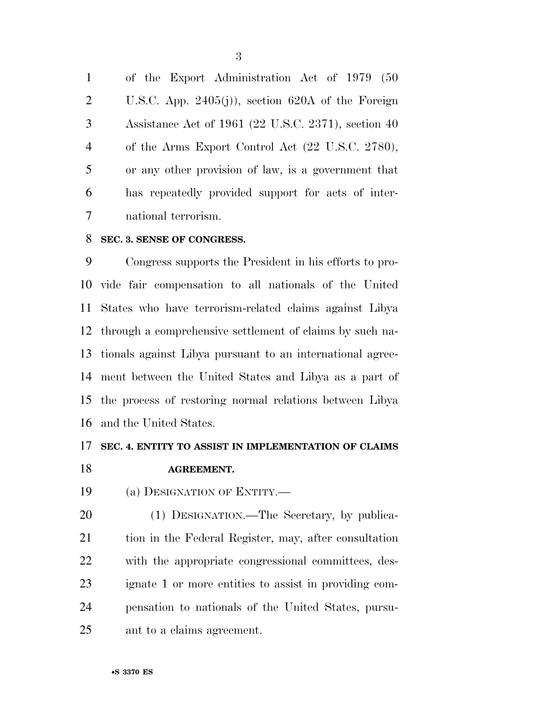of the Export Administration Act of 1979 (50 U.S.C. App. 2405(j)), section 620A of the Foreign Assistance Act of 1961 (22 U.S.C. 2371), section 40 of the Arms Export Control Act (22 U.S.C. 2780), or any other provision of law, is a government that has repeatedly provided support for acts of inter-national terrorism.

#### **SEC. 3. SENSE OF CONGRESS.**

 Congress supports the President in his efforts to pro- vide fair compensation to all nationals of the United States who have terrorism-related claims against Libya through a comprehensive settlement of claims by such na- tionals against Libya pursuant to an international agree- ment between the United States and Libya as a part of the process of restoring normal relations between Libya and the United States.

#### **SEC. 4. ENTITY TO ASSIST IN IMPLEMENTATION OF CLAIMS**

#### **AGREEMENT.**

(a) DESIGNATION OF ENTITY.—

 (1) DESIGNATION.—The Secretary, by publica- tion in the Federal Register, may, after consultation with the appropriate congressional committees, des- ignate 1 or more entities to assist in providing com- pensation to nationals of the United States, pursu-ant to a claims agreement.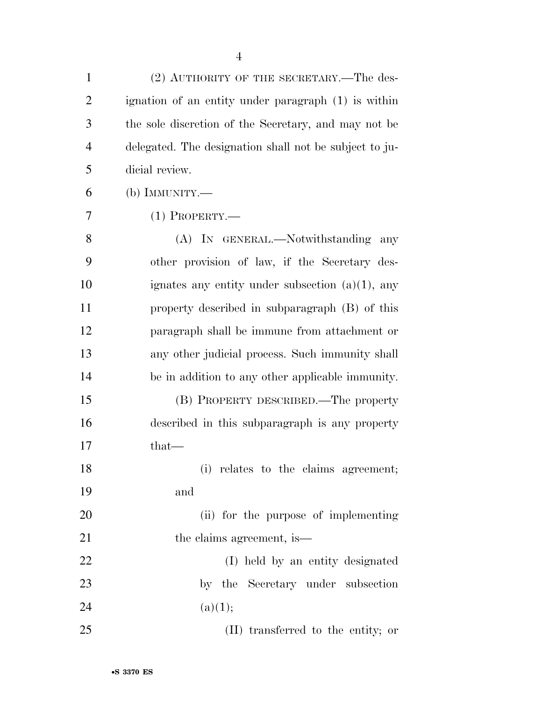| $\mathbf{1}$   | (2) AUTHORITY OF THE SECRETARY.—The des-               |
|----------------|--------------------------------------------------------|
| $\overline{2}$ | ignation of an entity under paragraph (1) is within    |
| 3              | the sole discretion of the Secretary, and may not be   |
| $\overline{4}$ | delegated. The designation shall not be subject to ju- |
| 5              | dicial review.                                         |
| 6              | (b) IMMUNITY.-                                         |
| 7              | $(1)$ Property.—                                       |
| 8              | (A) IN GENERAL.—Notwithstanding any                    |
| 9              | other provision of law, if the Secretary des-          |
| 10             | ignates any entity under subsection $(a)(1)$ , any     |
| 11             | property described in subparagraph (B) of this         |
| 12             | paragraph shall be immune from attachment or           |
| 13             | any other judicial process. Such immunity shall        |
| 14             | be in addition to any other applicable immunity.       |
| 15             | (B) PROPERTY DESCRIBED.—The property                   |
| 16             | described in this subparagraph is any property         |
| 17             | $that-$                                                |
| 18             | (i) relates to the claims agreement;                   |
| 19             | and                                                    |
| 20             | (ii) for the purpose of implementing                   |
| 21             | the claims agreement, is                               |
| 22             | (I) held by an entity designated                       |
| 23             | by the Secretary under subsection                      |
| 24             | (a)(1);                                                |
| 25             | (II) transferred to the entity; or                     |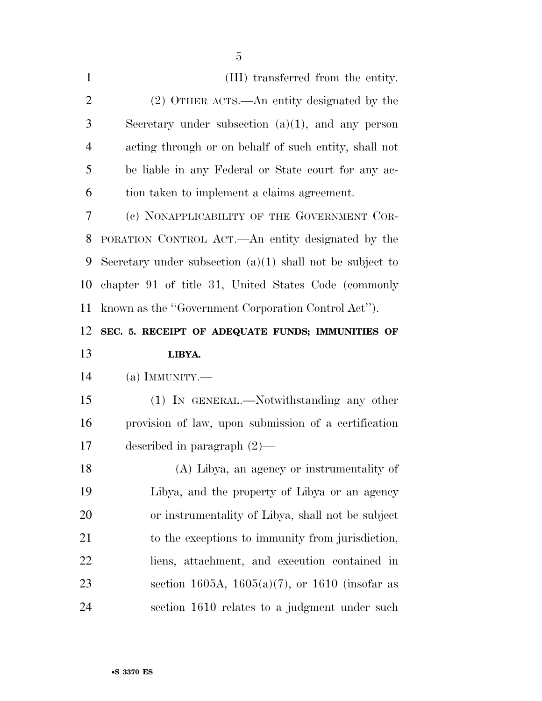| $\mathbf{1}$   | (III) transferred from the entity.                          |
|----------------|-------------------------------------------------------------|
| $\overline{2}$ | (2) OTHER ACTS.—An entity designated by the                 |
| 3              | Secretary under subsection $(a)(1)$ , and any person        |
| $\overline{4}$ | acting through or on behalf of such entity, shall not       |
| 5              | be liable in any Federal or State court for any ac-         |
| 6              | tion taken to implement a claims agreement.                 |
| 7              | (c) NONAPPLICABILITY OF THE GOVERNMENT COR-                 |
| 8              | PORATION CONTROL ACT.—An entity designated by the           |
| 9              | Secretary under subsection $(a)(1)$ shall not be subject to |
| 10             | chapter 91 of title 31, United States Code (commonly        |
| 11             | known as the "Government Corporation Control Act").         |
| 12             | SEC. 5. RECEIPT OF ADEQUATE FUNDS; IMMUNITIES OF            |
|                |                                                             |
| 13             | LIBYA.                                                      |
| 14             | (a) IMMUNITY.—                                              |
| 15             | (1) IN GENERAL.—Notwithstanding any other                   |
| 16             | provision of law, upon submission of a certification        |
| 17             | described in paragraph $(2)$ —                              |
| 18             | (A) Libya, an agency or instrumentality of                  |
| 19             | Libya, and the property of Libya or an agency               |
| 20             | or instrumentality of Libya, shall not be subject           |
| 21             | to the exceptions to immunity from jurisdiction,            |
| 22             | liens, attachment, and execution contained in               |
| 23             | section 1605A, 1605(a)(7), or 1610 (insofar as              |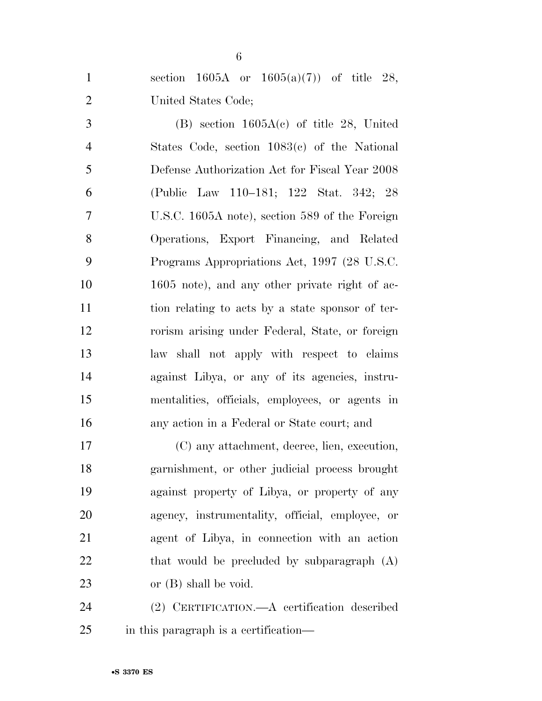| $\mathbf{1}$   | section 1605A or $1605(a)(7)$ of title 28,       |
|----------------|--------------------------------------------------|
| $\mathbf{2}$   | United States Code;                              |
| 3              | $(B)$ section 1605A $(c)$ of title 28, United    |
| $\overline{4}$ | States Code, section $1083(c)$ of the National   |
| 5              | Defense Authorization Act for Fiscal Year 2008   |
| 6              | (Public Law 110–181; 122 Stat. 342; 28           |
| $\tau$         | U.S.C. 1605A note), section 589 of the Foreign   |
| 8              | Operations, Export Financing, and Related        |
| 9              | Programs Appropriations Act, 1997 (28 U.S.C.     |
| 10             | 1605 note), and any other private right of ac-   |
| 11             | tion relating to acts by a state sponsor of ter- |
| 12             | rorism arising under Federal, State, or foreign  |
| 13             | law shall not apply with respect to claims       |
| 14             | against Libya, or any of its agencies, instru-   |
| 15             | mentalities, officials, employees, or agents in  |
| 16             | any action in a Federal or State court; and      |
| 17             | (C) any attachment, decree, lien, execution,     |
| 18             | garnishment, or other judicial process brought   |
| 19             | against property of Libya, or property of any    |
| 20             | agency, instrumentality, official, employee, or  |
| 21             | agent of Libya, in connection with an action     |
| 22             | that would be precluded by subparagraph $(A)$    |
| 23             | or $(B)$ shall be void.                          |

 (2) CERTIFICATION.—A certification described in this paragraph is a certification—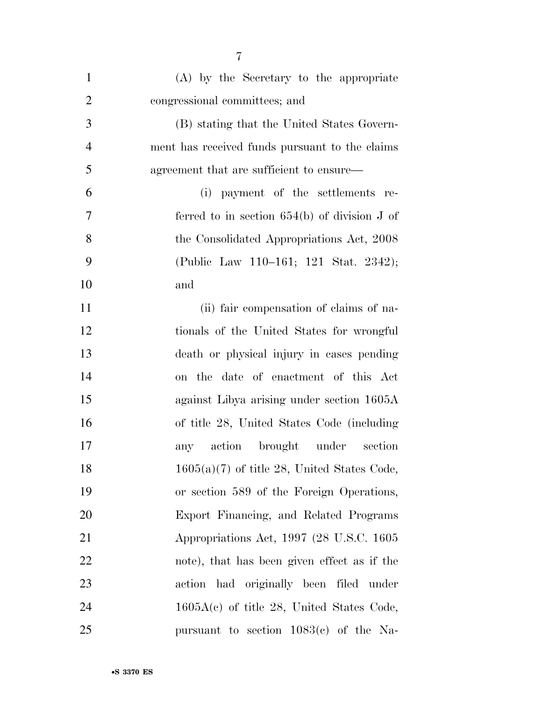| $\mathbf{1}$   | (A) by the Secretary to the appropriate        |
|----------------|------------------------------------------------|
| $\overline{2}$ | congressional committees; and                  |
| 3              | (B) stating that the United States Govern-     |
| $\overline{4}$ | ment has received funds pursuant to the claims |
| 5              | agreement that are sufficient to ensure—       |
| 6              | (i) payment of the settlements re-             |
| 7              | ferred to in section $654(b)$ of division J of |
| 8              | the Consolidated Appropriations Act, 2008      |
| 9              | (Public Law 110–161; 121 Stat. 2342);          |
| 10             | and                                            |
| 11             | (ii) fair compensation of claims of na-        |
| 12             | tionals of the United States for wrongful      |
| 13             | death or physical injury in cases pending      |
| 14             | on the date of enactment of this Act           |
| 15             | against Libya arising under section 1605A      |
| 16             | of title 28, United States Code (including     |
| 17             | any action brought under section               |
| 18             | $1605(a)(7)$ of title 28, United States Code,  |
| 19             | or section 589 of the Foreign Operations,      |
| 20             | Export Financing, and Related Programs         |
| 21             | Appropriations Act, 1997 (28 U.S.C. 1605)      |
| 22             | note), that has been given effect as if the    |
| 23             | action had originally been filed under         |
| 24             | $1605A(c)$ of title 28, United States Code,    |
| 25             | pursuant to section $1083(c)$ of the Na-       |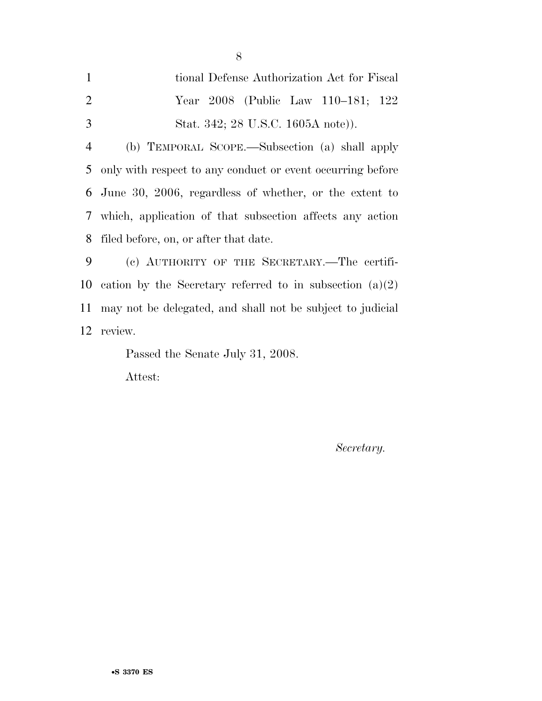| $\mathbf{1}$   | tional Defense Authorization Act for Fiscal                   |
|----------------|---------------------------------------------------------------|
| 2              | Year 2008 (Public Law 110–181; 122                            |
| 3              | Stat. 342; 28 U.S.C. 1605A note).                             |
| $\overline{4}$ | (b) TEMPORAL SCOPE.—Subsection (a) shall apply                |
| 5              | only with respect to any conduct or event occurring before    |
|                | 6 June 30, 2006, regardless of whether, or the extent to      |
|                | 7 which, application of that subsection affects any action    |
| 8              | filed before, on, or after that date.                         |
| 9              | (c) AUTHORITY OF THE SECRETARY.—The certifi-                  |
|                | 10 cation by the Secretary referred to in subsection $(a)(2)$ |
| 11             | may not be delegated, and shall not be subject to judicial    |
|                | 12 review.                                                    |

Passed the Senate July 31, 2008.

Attest:

*Secretary.*